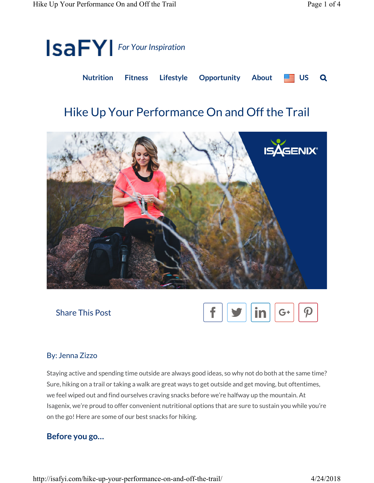

# Hike Up Your Performance On and Off the Trail





### By: Jenna Zizzo

Staying active and spending time outside are always good ideas, so why not do both at the same time? Sure, hiking on a trail or taking a walk are great ways to get outside and get moving, but oftentimes, we feel wiped out and find ourselves craving snacks before we're halfway up the mountain. At Isagenix, we're proud to offer convenient nutritional options that are sure to sustain you while you're on the go! Here are some of our best snacks for hiking.

### Before you go…

http://isafyi.com/hike-up-your-performance-on-and-off-the-trail/ 4/24/2018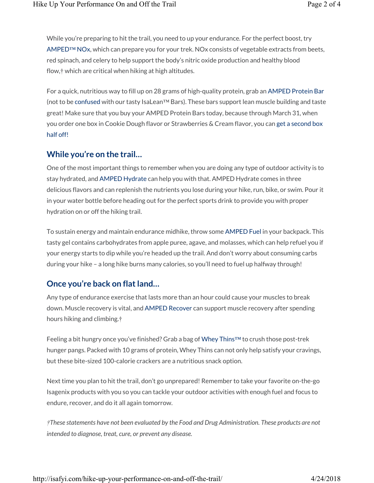While you're preparing to hit the trail, you need to up your endurance. For the perfect boost, try AMPED™ NOx, which can prepare you for your trek. NOx consists of vegetable extracts from beets, red spinach, and celery to help support the body's nitric oxide production and healthy blood flow,† which are critical when hiking at high altitudes.

For a quick, nutritious way to fill up on 28 grams of high-quality protein, grab an AMPED Protein Bar (not to be confused with our tasty IsaLean™ Bars). These bars support lean muscle building and taste great! Make sure that you buy your AMPED Protein Bars today, because through March 31, when you order one box in Cookie Dough flavor or Strawberries & Cream flavor, you can get a second box half off!

#### While you're on the trail…

One of the most important things to remember when you are doing any type of outdoor activity is to stay hydrated, and AMPED Hydrate can help you with that. AMPED Hydrate comes in three delicious flavors and can replenish the nutrients you lose during your hike, run, bike, or swim. Pour it in your water bottle before heading out for the perfect sports drink to provide you with proper hydration on or off the hiking trail.

To sustain energy and maintain endurance midhike, throw some AMPED Fuel in your backpack. This tasty gel contains carbohydrates from apple puree, agave, and molasses, which can help refuel you if your energy starts to dip while you're headed up the trail. And don't worry about consuming carbs during your hike – a long hike burns many calories, so you'll need to fuel up halfway through!

## Once you're back on flat land…

Any type of endurance exercise that lasts more than an hour could cause your muscles to break down. Muscle recovery is vital, and AMPED Recover can support muscle recovery after spending hours hiking and climbing.†

Feeling a bit hungry once you've finished? Grab a bag of Whey Thins™ to crush those post-trek hunger pangs. Packed with 10 grams of protein, Whey Thins can not only help satisfy your cravings, but these bite-sized 100-calorie crackers are a nutritious snack option.

Next time you plan to hit the trail, don't go unprepared! Remember to take your favorite on-the-go Isagenix products with you so you can tackle your outdoor activities with enough fuel and focus to endure, recover, and do it all again tomorrow.

†These statements have not been evaluated by the Food and Drug Administration. These products are not intended to diagnose, treat, cure, or prevent any disease.

http://isafyi.com/hike-up-your-performance-on-and-off-the-trail/ 4/24/2018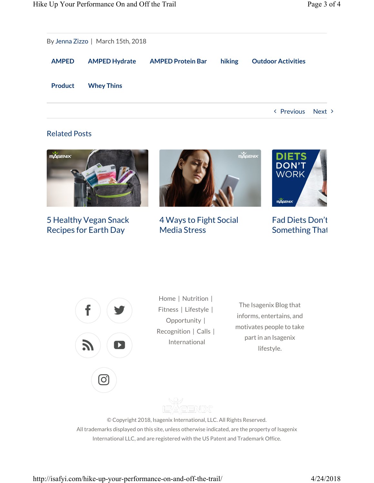|                | By Jenna Zizzo   March 15th, 2018 |                          |        |                           |
|----------------|-----------------------------------|--------------------------|--------|---------------------------|
|                |                                   |                          |        |                           |
| <b>AMPED</b>   | <b>AMPED Hydrate</b>              | <b>AMPED Protein Bar</b> | hiking | <b>Outdoor Activities</b> |
| <b>Product</b> | <b>Whey Thins</b>                 |                          |        |                           |

< Previous Next >

#### Related Posts



5 Healthy Vegan Snack Recipes for Earth Day



4 Ways to Fight Social Media Stress



**Fad Diets Don't** Something That



(ဝ)

Home | Nutrition | Fitness | Lifestyle | Opportunity | Recognition | Calls | International

The Isagenix Blog that informs, entertains, and motivates people to take part in an Isagenix lifestyle.

AGENDX

© Copyright 2018, Isagenix International, LLC. All Rights Reserved. All trademarks displayed on this site, unless otherwise indicated, are the property of Isagenix International LLC, and are registered with the US Patent and Trademark Office.